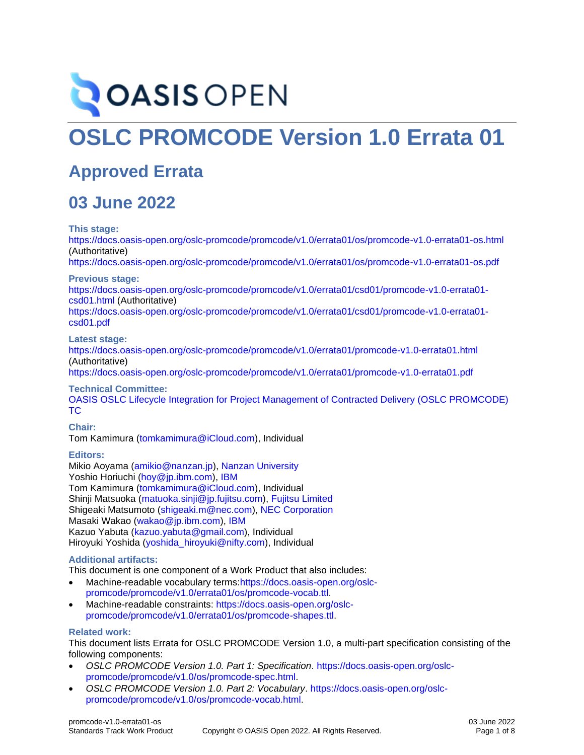# **OASIS OPEN**

# **OSLC PROMCODE Version 1.0 Errata 01**

### **Approved Errata**

### **03 June 2022**

**This stage:**

<https://docs.oasis-open.org/oslc-promcode/promcode/v1.0/errata01/os/promcode-v1.0-errata01-os.html> (Authoritative)

<https://docs.oasis-open.org/oslc-promcode/promcode/v1.0/errata01/os/promcode-v1.0-errata01-os.pdf>

**Previous stage:**

[https://docs.oasis-open.org/oslc-promcode/promcode/v1.0/errata01/csd01/promcode-v1.0-errata01](https://docs.oasis-open.org/oslc-promcode/promcode/v1.0/errata01/csd01/promcode-v1.0-errata01-csd01.html) [csd01.html](https://docs.oasis-open.org/oslc-promcode/promcode/v1.0/errata01/csd01/promcode-v1.0-errata01-csd01.html) (Authoritative)

[https://docs.oasis-open.org/oslc-promcode/promcode/v1.0/errata01/csd01/promcode-v1.0-errata01](https://docs.oasis-open.org/oslc-promcode/promcode/v1.0/errata01/csd01/promcode-v1.0-errata01-csd01.pdf) [csd01.pdf](https://docs.oasis-open.org/oslc-promcode/promcode/v1.0/errata01/csd01/promcode-v1.0-errata01-csd01.pdf)

**Latest stage:**

<https://docs.oasis-open.org/oslc-promcode/promcode/v1.0/errata01/promcode-v1.0-errata01.html> (Authoritative)

<https://docs.oasis-open.org/oslc-promcode/promcode/v1.0/errata01/promcode-v1.0-errata01.pdf>

**Technical Committee:**

OASIS [OSLC Lifecycle Integration for Project Management of Contracted Delivery \(OSLC PROMCODE\)](https://www.oasis-open.org/committees/oslc-promcode/)  [TC](https://www.oasis-open.org/committees/oslc-promcode/)

#### **Chair:**

Tom Kamimura [\(tomkamimura@iCloud.com\)](mailto:tomkamimura@iCloud.com), Individual

#### **Editors:**

Mikio Aoyama [\(amikio@nanzan.jp\)](mailto:amikio@nanzan.jp), [Nanzan University](http://www.nanzan-u.ac.jp/) Yoshio Horiuchi [\(hoy@jp.ibm.com\)](mailto:hoy@jp.ibm.com), [IBM](http://ibm.com/) Tom Kamimura [\(tomkamimura@iCloud.com\)](mailto:tomkamimura@iCloud.com), Individual Shinji Matsuoka [\(matuoka.sinji@jp.fujitsu.com\)](mailto:matuoka.sinji@jp.fujitsu.com), [Fujitsu Limited](https://www.fujitsu.com/) Shigeaki Matsumoto [\(shigeaki.m@nec.com\)](mailto:shigeaki.m@nec.com), [NEC Corporation](http://www.nec.com/) Masaki Wakao [\(wakao@jp.ibm.com\)](mailto:wakao@jp.ibm.com), [IBM](http://ibm.com/) Kazuo Yabuta [\(kazuo.yabuta@gmail.com\)](mailto:kazuo.yabuta@gmail.com), Individual Hiroyuki Yoshida [\(yoshida\\_hiroyuki@nifty.com\)](mailto:yoshida_hiroyuki@nifty.com), Individual

#### <span id="page-0-0"></span>**Additional artifacts:**

This document is one component of a Work Product that also includes:

- Machine-readable vocabulary terms[:https://docs.oasis-open.org/oslc](https://docs.oasis-open.org/oslc-promcode/promcode/v1.0/errata01/os/promcode-vocab.ttl)[promcode/promcode/v1.0/errata01/os/promcode-vocab.ttl.](https://docs.oasis-open.org/oslc-promcode/promcode/v1.0/errata01/os/promcode-vocab.ttl)
- Machine-readable constraints: [https://docs.oasis-open.org/oslc](https://docs.oasis-open.org/oslc-promcode/promcode/v1.0/errata01/os/promcode-shapes.ttl)[promcode/promcode/v1.0/errata01/os/promcode-shapes.ttl.](https://docs.oasis-open.org/oslc-promcode/promcode/v1.0/errata01/os/promcode-shapes.ttl)

#### **Related work:**

This document lists Errata for OSLC PROMCODE Version 1.0, a multi-part specification consisting of the following components:

- *OSLC PROMCODE Version 1.0. Part 1: Specification*. [https://docs.oasis-open.org/oslc](https://docs.oasis-open.org/oslc-promcode/promcode/v1.0/os/promcode-spec.html)[promcode/promcode/v1.0/os/promcode-spec.html.](https://docs.oasis-open.org/oslc-promcode/promcode/v1.0/os/promcode-spec.html)
- *OSLC PROMCODE Version 1.0. Part 2: Vocabulary*. [https://docs.oasis-open.org/oslc](https://docs.oasis-open.org/oslc-promcode/promcode/v1.0/os/promcode-vocab.html)[promcode/promcode/v1.0/os/promcode-vocab.html.](https://docs.oasis-open.org/oslc-promcode/promcode/v1.0/os/promcode-vocab.html)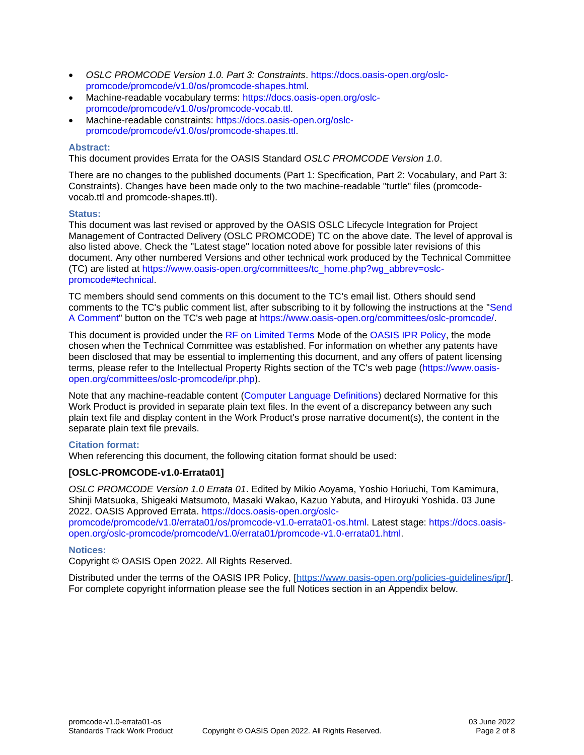- *OSLC PROMCODE Version 1.0. Part 3: Constraints*. [https://docs.oasis-open.org/oslc](https://docs.oasis-open.org/oslc-promcode/promcode/v1.0/os/promcode-shapes.html)[promcode/promcode/v1.0/os/promcode-shapes.html.](https://docs.oasis-open.org/oslc-promcode/promcode/v1.0/os/promcode-shapes.html)
- Machine-readable vocabulary terms: [https://docs.oasis-open.org/oslc](https://docs.oasis-open.org/oslc-promcode/promcode/v1.0/os/promcode-vocab.ttl)[promcode/promcode/v1.0/os/promcode-vocab.ttl.](https://docs.oasis-open.org/oslc-promcode/promcode/v1.0/os/promcode-vocab.ttl)
- Machine-readable constraints: [https://docs.oasis-open.org/oslc](https://docs.oasis-open.org/oslc-promcode/promcode/v1.0/os/promcode-shapes.ttl)[promcode/promcode/v1.0/os/promcode-shapes.ttl.](https://docs.oasis-open.org/oslc-promcode/promcode/v1.0/os/promcode-shapes.ttl)

#### **Abstract:**

This document provides Errata for the OASIS Standard *OSLC PROMCODE Version 1.0*.

There are no changes to the published documents (Part 1: Specification, Part 2: Vocabulary, and Part 3: Constraints). Changes have been made only to the two machine-readable "turtle" files (promcodevocab.ttl and promcode-shapes.ttl).

#### **Status:**

This document was last revised or approved by the OASIS OSLC Lifecycle Integration for Project Management of Contracted Delivery (OSLC PROMCODE) TC on the above date. The level of approval is also listed above. Check the "Latest stage" location noted above for possible later revisions of this document. Any other numbered Versions and other technical work produced by the Technical Committee (TC) are listed at [https://www.oasis-open.org/committees/tc\\_home.php?wg\\_abbrev=oslc](https://www.oasis-open.org/committees/tc_home.php?wg_abbrev=oslc-promcode#technical)[promcode#technical.](https://www.oasis-open.org/committees/tc_home.php?wg_abbrev=oslc-promcode#technical)

TC members should send comments on this document to the TC's email list. Others should send comments to the TC's public comment list, after subscribing to it by following the instructions at the ["Send](https://www.oasis-open.org/committees/comments/index.php?wg_abbrev=oslc-promcode)  [A Comment"](https://www.oasis-open.org/committees/comments/index.php?wg_abbrev=oslc-promcode) button on the TC's web page at [https://www.oasis-open.org/committees/oslc-promcode/.](https://www.oasis-open.org/committees/oslc-promcode/)

This document is provided under the [RF on Limited Terms](https://www.oasis-open.org/policies-guidelines/ipr/#RF-on-Limited-Mode) Mode of the [OASIS IPR Policy,](https://www.oasis-open.org/policies-guidelines/ipr/) the mode chosen when the Technical Committee was established. For information on whether any patents have been disclosed that may be essential to implementing this document, and any offers of patent licensing terms, please refer to the Intellectual Property Rights section of the TC's web page [\(https://www.oasis](https://www.oasis-open.org/committees/oslc-promcode/ipr.php)[open.org/committees/oslc-promcode/ipr.php\)](https://www.oasis-open.org/committees/oslc-promcode/ipr.php).

Note that any machine-readable content [\(Computer Language Definitions\)](https://www.oasis-open.org/policies-guidelines/tc-process-2017-05-26/#wpComponentsCompLang) declared Normative for this Work Product is provided in separate plain text files. In the event of a discrepancy between any such plain text file and display content in the Work Product's prose narrative document(s), the content in the separate plain text file prevails.

#### **Citation format:**

When referencing this document, the following citation format should be used:

#### **[OSLC-PROMCODE-v1.0-Errata01]**

*OSLC PROMCODE Version 1.0 Errata 01*. Edited by Mikio Aoyama, Yoshio Horiuchi, Tom Kamimura, Shinji Matsuoka, Shigeaki Matsumoto, Masaki Wakao, Kazuo Yabuta, and Hiroyuki Yoshida. 03 June 2022. OASIS Approved Errata. [https://docs.oasis-open.org/oslc](https://docs.oasis-open.org/oslc-promcode/promcode/v1.0/errata01/os/promcode-v1.0-errata01-os.html)[promcode/promcode/v1.0/errata01/os/promcode-v1.0-errata01-os.html.](https://docs.oasis-open.org/oslc-promcode/promcode/v1.0/errata01/os/promcode-v1.0-errata01-os.html) Latest stage: [https://docs.oasis](https://docs.oasis-open.org/oslc-promcode/promcode/v1.0/errata01/promcode-v1.0-errata01.html)[open.org/oslc-promcode/promcode/v1.0/errata01/promcode-v1.0-errata01.html.](https://docs.oasis-open.org/oslc-promcode/promcode/v1.0/errata01/promcode-v1.0-errata01.html)

#### **Notices:**

Copyright © OASIS Open 2022. All Rights Reserved.

Distributed under the terms of the OASIS IPR Policy, [\[https://www.oasis-open.org/policies-guidelines/ipr/\]](https://www.oasis-open.org/policies-guidelines/ipr/). For complete copyright information please see the full Notices section in an Appendix below.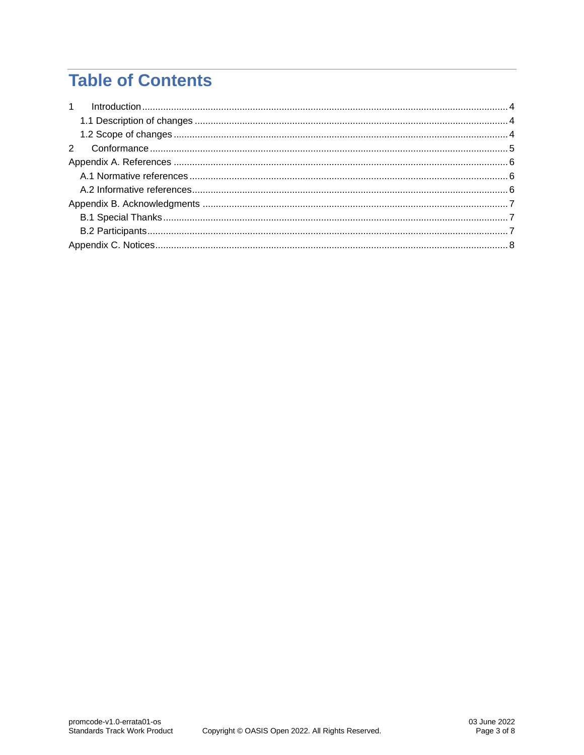# **Table of Contents**

| $\mathbf{1}$ |  |
|--------------|--|
|              |  |
|              |  |
|              |  |
|              |  |
|              |  |
|              |  |
|              |  |
|              |  |
|              |  |
|              |  |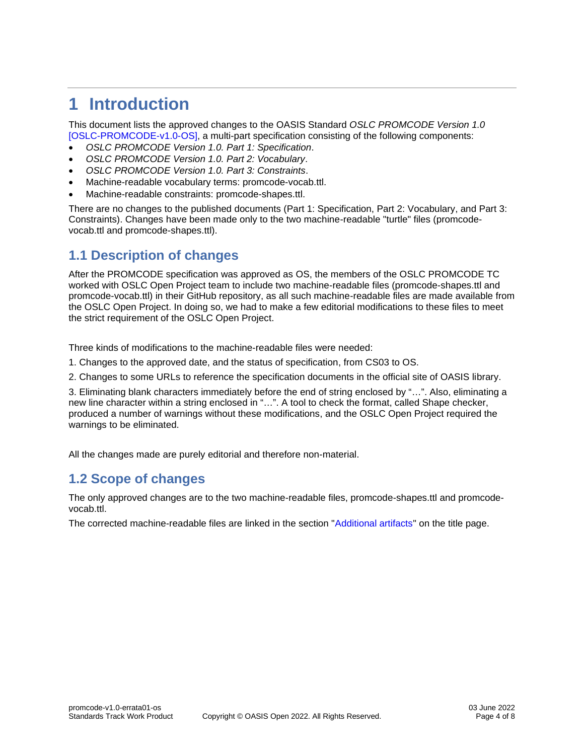# <span id="page-3-0"></span>**1 Introduction**

This document lists the approved changes to the OASIS Standard *OSLC PROMCODE Version 1.0* [\[OSLC-PROMCODE-v1.0-OS\],](#page-5-3) a multi-part specification consisting of the following components:

- *OSLC PROMCODE Version 1.0. Part 1: Specification*.
- *OSLC PROMCODE Version 1.0. Part 2: Vocabulary*.
- *OSLC PROMCODE Version 1.0. Part 3: Constraints*.
- Machine-readable vocabulary terms: promcode-vocab.ttl.
- Machine-readable constraints: promcode-shapes.ttl.

There are no changes to the published documents (Part 1: Specification, Part 2: Vocabulary, and Part 3: Constraints). Changes have been made only to the two machine-readable "turtle" files (promcodevocab.ttl and promcode-shapes.ttl).

### <span id="page-3-1"></span>**1.1 Description of changes**

After the PROMCODE specification was approved as OS, the members of the OSLC PROMCODE TC worked with OSLC Open Project team to include two machine-readable files (promcode-shapes.ttl and promcode-vocab.ttl) in their GitHub repository, as all such machine-readable files are made available from the OSLC Open Project. In doing so, we had to make a few editorial modifications to these files to meet the strict requirement of the OSLC Open Project.

Three kinds of modifications to the machine-readable files were needed:

- 1. Changes to the approved date, and the status of specification, from CS03 to OS.
- 2. Changes to some URLs to reference the specification documents in the official site of OASIS library.

3. Eliminating blank characters immediately before the end of string enclosed by "…". Also, eliminating a new line character within a string enclosed in "…". A tool to check the format, called Shape checker, produced a number of warnings without these modifications, and the OSLC Open Project required the warnings to be eliminated.

All the changes made are purely editorial and therefore non-material.

### <span id="page-3-2"></span>**1.2 Scope of changes**

The only approved changes are to the two machine-readable files, promcode-shapes.ttl and promcodevocab.ttl.

The corrected machine-readable files are linked in the section ["Additional artifacts"](#page-0-0) on the title page.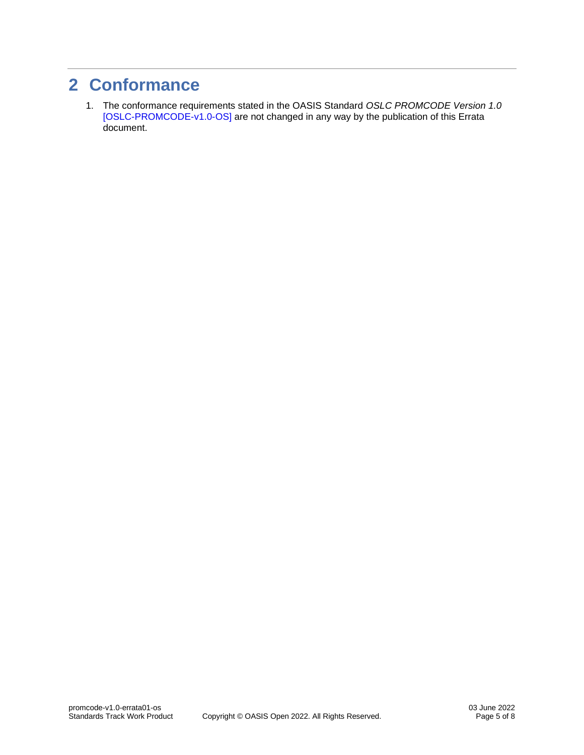### <span id="page-4-0"></span>**2 Conformance**

1. The conformance requirements stated in the OASIS Standard *OSLC PROMCODE Version 1.0* [\[OSLC-PROMCODE-v1.0-OS\]](#page-5-3) are not changed in any way by the publication of this Errata document.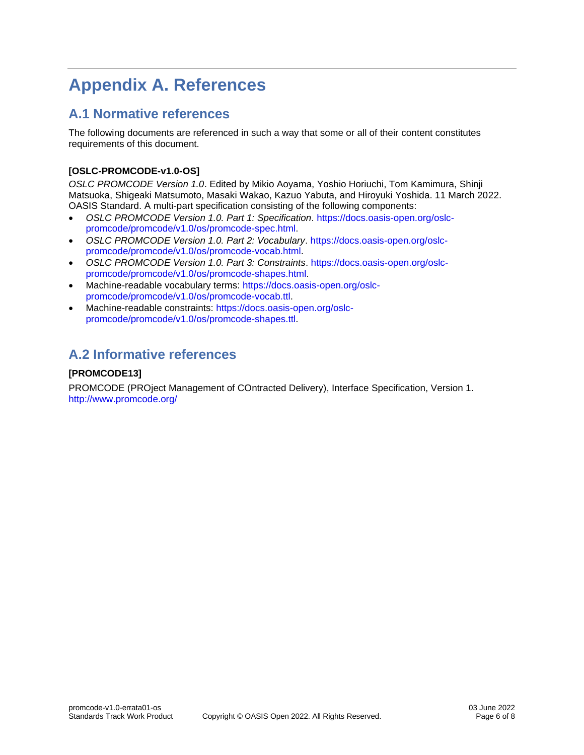# <span id="page-5-0"></span>**Appendix A. References**

### <span id="page-5-1"></span>**A.1 Normative references**

The following documents are referenced in such a way that some or all of their content constitutes requirements of this document.

### <span id="page-5-3"></span>**[OSLC-PROMCODE-v1.0-OS]**

*OSLC PROMCODE Version 1.0*. Edited by Mikio Aoyama, Yoshio Horiuchi, Tom Kamimura, Shinji Matsuoka, Shigeaki Matsumoto, Masaki Wakao, Kazuo Yabuta, and Hiroyuki Yoshida. 11 March 2022. OASIS Standard. A multi-part specification consisting of the following components:

- *OSLC PROMCODE Version 1.0. Part 1: Specification*. [https://docs.oasis-open.org/oslc](https://docs.oasis-open.org/oslc-promcode/promcode/v1.0/os/promcode-spec.html)[promcode/promcode/v1.0/os/promcode-spec.html.](https://docs.oasis-open.org/oslc-promcode/promcode/v1.0/os/promcode-spec.html)
- *OSLC PROMCODE Version 1.0. Part 2: Vocabulary*. [https://docs.oasis-open.org/oslc](https://docs.oasis-open.org/oslc-promcode/promcode/v1.0/os/promcode-vocab.html)[promcode/promcode/v1.0/os/promcode-vocab.html.](https://docs.oasis-open.org/oslc-promcode/promcode/v1.0/os/promcode-vocab.html)
- *OSLC PROMCODE Version 1.0. Part 3: Constraints*. [https://docs.oasis-open.org/oslc](https://docs.oasis-open.org/oslc-promcode/promcode/v1.0/os/promcode-shapes.html)[promcode/promcode/v1.0/os/promcode-shapes.html.](https://docs.oasis-open.org/oslc-promcode/promcode/v1.0/os/promcode-shapes.html)
- Machine-readable vocabulary terms: [https://docs.oasis-open.org/oslc](https://docs.oasis-open.org/oslc-promcode/promcode/v1.0/os/promcode-vocab.ttl)[promcode/promcode/v1.0/os/promcode-vocab.ttl.](https://docs.oasis-open.org/oslc-promcode/promcode/v1.0/os/promcode-vocab.ttl)
- Machine-readable constraints: [https://docs.oasis-open.org/oslc](https://docs.oasis-open.org/oslc-promcode/promcode/v1.0/os/promcode-shapes.ttl)[promcode/promcode/v1.0/os/promcode-shapes.ttl.](https://docs.oasis-open.org/oslc-promcode/promcode/v1.0/os/promcode-shapes.ttl)

### <span id="page-5-2"></span>**A.2 Informative references**

### <span id="page-5-4"></span>**[PROMCODE13]**

PROMCODE (PROject Management of COntracted Delivery), Interface Specification, Version 1. <http://www.promcode.org/>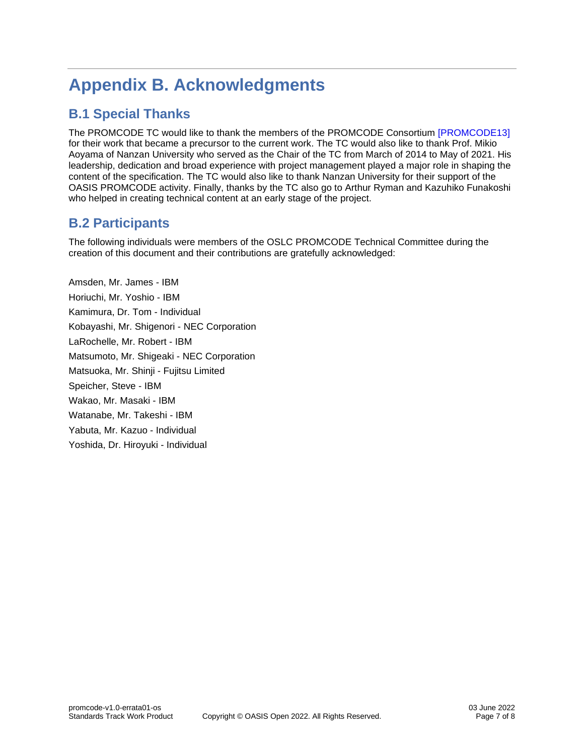# <span id="page-6-0"></span>**Appendix B. Acknowledgments**

### <span id="page-6-1"></span>**B.1 Special Thanks**

The PROMCODE TC would like to thank the members of the PROMCODE Consortium [\[PROMCODE13\]](#page-5-4) for their work that became a precursor to the current work. The TC would also like to thank Prof. Mikio Aoyama of Nanzan University who served as the Chair of the TC from March of 2014 to May of 2021. His leadership, dedication and broad experience with project management played a major role in shaping the content of the specification. The TC would also like to thank Nanzan University for their support of the OASIS PROMCODE activity. Finally, thanks by the TC also go to Arthur Ryman and Kazuhiko Funakoshi who helped in creating technical content at an early stage of the project.

### <span id="page-6-2"></span>**B.2 Participants**

The following individuals were members of the OSLC PROMCODE Technical Committee during the creation of this document and their contributions are gratefully acknowledged:

Amsden, Mr. James - IBM Horiuchi, Mr. Yoshio - IBM Kamimura, Dr. Tom - Individual Kobayashi, Mr. Shigenori - NEC Corporation LaRochelle, Mr. Robert - IBM Matsumoto, Mr. Shigeaki - NEC Corporation Matsuoka, Mr. Shinji - Fujitsu Limited Speicher, Steve - IBM Wakao, Mr. Masaki - IBM Watanabe, Mr. Takeshi - IBM Yabuta, Mr. Kazuo - Individual Yoshida, Dr. Hiroyuki - Individual